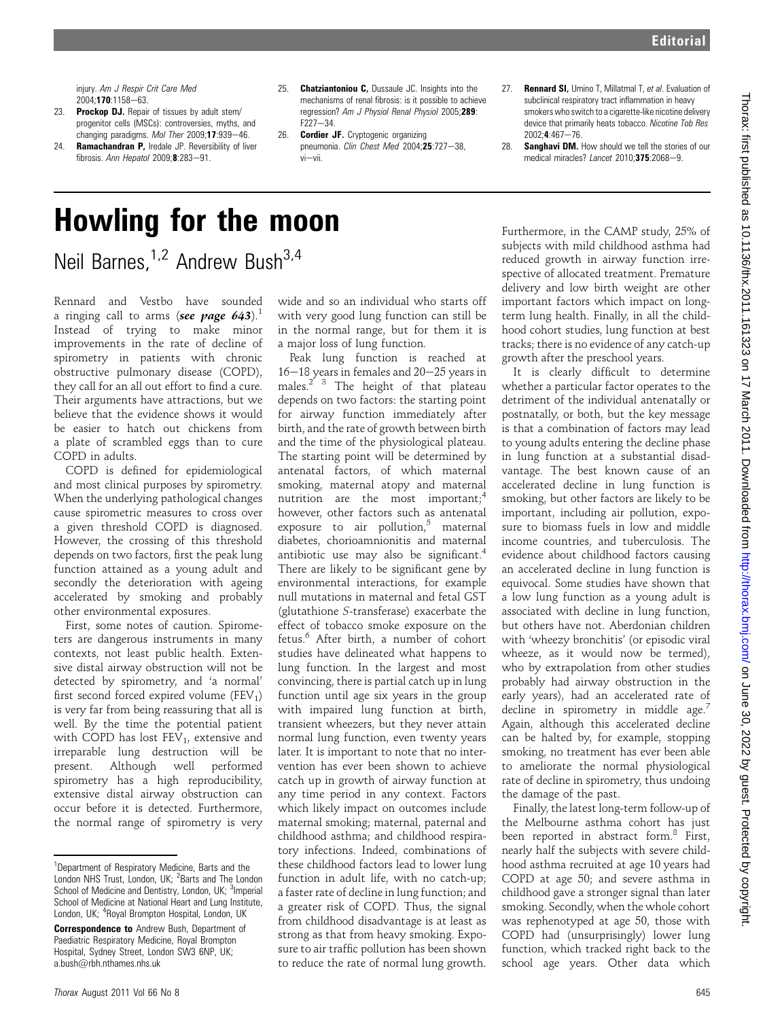injury. Am J Respir Crit Care Med  $2004 \cdot 170 \cdot 1158 - 63$ 

- 23. Prockop DJ. Repair of tissues by adult stem/ progenitor cells (MSCs): controversies, myths, and changing paradigms. Mol Ther  $2009:17:939-46$ .
- 24. Ramachandran P, Iredale JP. Reversibility of liver fibrosis. Ann Hepatol  $2009 \cdot 8.283 - 91$ .
- 25. **Chatziantoniou C,** Dussaule JC. Insights into the mechanisms of renal fibrosis: is it possible to achieve regression? Am J Physiol Renal Physiol 2005;289:  $F227 - 34.$
- 26. **Cordier JF.** Cryptogenic organizing pneumonia. Clin Chest Med 2004;25:727-38,  $vi$
- 27. Rennard SI, Umino T, Millatmal T, et al. Evaluation of subclinical respiratory tract inflammation in heavy smokers who switch to a cigarette-like nicotine delivery device that primarily heats tobacco. Nicotine Tob Res  $2002 \cdot 4.467 - 76$
- 28. Sanghavi DM. How should we tell the stories of our medical miracles? Lancet  $2010:375:2068-9$

## Howling for the moon Neil Barnes,<sup>1,2</sup> Andrew Bush<sup>3,4</sup>

Rennard and Vestbo have sounded a ringing call to arms (see page  $643$ ).<sup>1</sup> Instead of trying to make minor improvements in the rate of decline of spirometry in patients with chronic obstructive pulmonary disease (COPD), they call for an all out effort to find a cure. Their arguments have attractions, but we believe that the evidence shows it would be easier to hatch out chickens from a plate of scrambled eggs than to cure COPD in adults.

COPD is defined for epidemiological and most clinical purposes by spirometry. When the underlying pathological changes cause spirometric measures to cross over a given threshold COPD is diagnosed. However, the crossing of this threshold depends on two factors, first the peak lung function attained as a young adult and secondly the deterioration with ageing accelerated by smoking and probably other environmental exposures.

First, some notes of caution. Spirometers are dangerous instruments in many contexts, not least public health. Extensive distal airway obstruction will not be detected by spirometry, and 'a normal' first second forced expired volume  $(FEV_1)$ is very far from being reassuring that all is well. By the time the potential patient with COPD has lost  $FEV_1$ , extensive and irreparable lung destruction will be present. Although well performed spirometry has a high reproducibility, extensive distal airway obstruction can occur before it is detected. Furthermore, the normal range of spirometry is very

wide and so an individual who starts off with very good lung function can still be in the normal range, but for them it is a major loss of lung function.

Peak lung function is reached at  $16-18$  years in females and  $20-25$  years in males. $2^{7}$  3 The height of that plateau depends on two factors: the starting point for airway function immediately after birth, and the rate of growth between birth and the time of the physiological plateau. The starting point will be determined by antenatal factors, of which maternal smoking, maternal atopy and maternal nutrition are the most important; $<sup>4</sup>$ </sup> however, other factors such as antenatal exposure to air pollution, $5$  maternal diabetes, chorioamnionitis and maternal antibiotic use may also be significant.<sup>4</sup> There are likely to be significant gene by environmental interactions, for example null mutations in maternal and fetal GST (glutathione S-transferase) exacerbate the effect of tobacco smoke exposure on the fetus.6 After birth, a number of cohort studies have delineated what happens to lung function. In the largest and most convincing, there is partial catch up in lung function until age six years in the group with impaired lung function at birth, transient wheezers, but they never attain normal lung function, even twenty years later. It is important to note that no intervention has ever been shown to achieve catch up in growth of airway function at any time period in any context. Factors which likely impact on outcomes include maternal smoking; maternal, paternal and childhood asthma; and childhood respiratory infections. Indeed, combinations of these childhood factors lead to lower lung function in adult life, with no catch-up; a faster rate of decline in lung function; and a greater risk of COPD. Thus, the signal from childhood disadvantage is at least as strong as that from heavy smoking. Exposure to air traffic pollution has been shown to reduce the rate of normal lung growth.

Furthermore, in the CAMP study, 25% of subjects with mild childhood asthma had reduced growth in airway function irrespective of allocated treatment. Premature delivery and low birth weight are other important factors which impact on longterm lung health. Finally, in all the childhood cohort studies, lung function at best tracks; there is no evidence of any catch-up growth after the preschool years.

It is clearly difficult to determine whether a particular factor operates to the detriment of the individual antenatally or postnatally, or both, but the key message is that a combination of factors may lead to young adults entering the decline phase in lung function at a substantial disadvantage. The best known cause of an accelerated decline in lung function is smoking, but other factors are likely to be important, including air pollution, exposure to biomass fuels in low and middle income countries, and tuberculosis. The evidence about childhood factors causing an accelerated decline in lung function is equivocal. Some studies have shown that a low lung function as a young adult is associated with decline in lung function, but others have not. Aberdonian children with 'wheezy bronchitis' (or episodic viral wheeze, as it would now be termed), who by extrapolation from other studies probably had airway obstruction in the early years), had an accelerated rate of decline in spirometry in middle age.<sup>7</sup> Again, although this accelerated decline can be halted by, for example, stopping smoking, no treatment has ever been able to ameliorate the normal physiological rate of decline in spirometry, thus undoing the damage of the past.

Finally, the latest long-term follow-up of the Melbourne asthma cohort has just been reported in abstract form.<sup>8</sup> First, nearly half the subjects with severe childhood asthma recruited at age 10 years had COPD at age 50; and severe asthma in childhood gave a stronger signal than later smoking. Secondly, when the whole cohort was rephenotyped at age 50, those with COPD had (unsurprisingly) lower lung function, which tracked right back to the school age years. Other data which

<sup>&</sup>lt;sup>1</sup>Department of Respiratory Medicine, Barts and the London NHS Trust, London, UK; <sup>2</sup>Barts and The London School of Medicine and Dentistry, London, UK; <sup>3</sup>Imperial School of Medicine at National Heart and Lung Institute, London, UK; <sup>4</sup>Royal Brompton Hospital, London, UK

**Correspondence to** Andrew Bush, Department of Paediatric Respiratory Medicine, Royal Brompton Hospital, Sydney Street, London SW3 6NP, UK; a.bush@rbh.nthames.nhs.uk